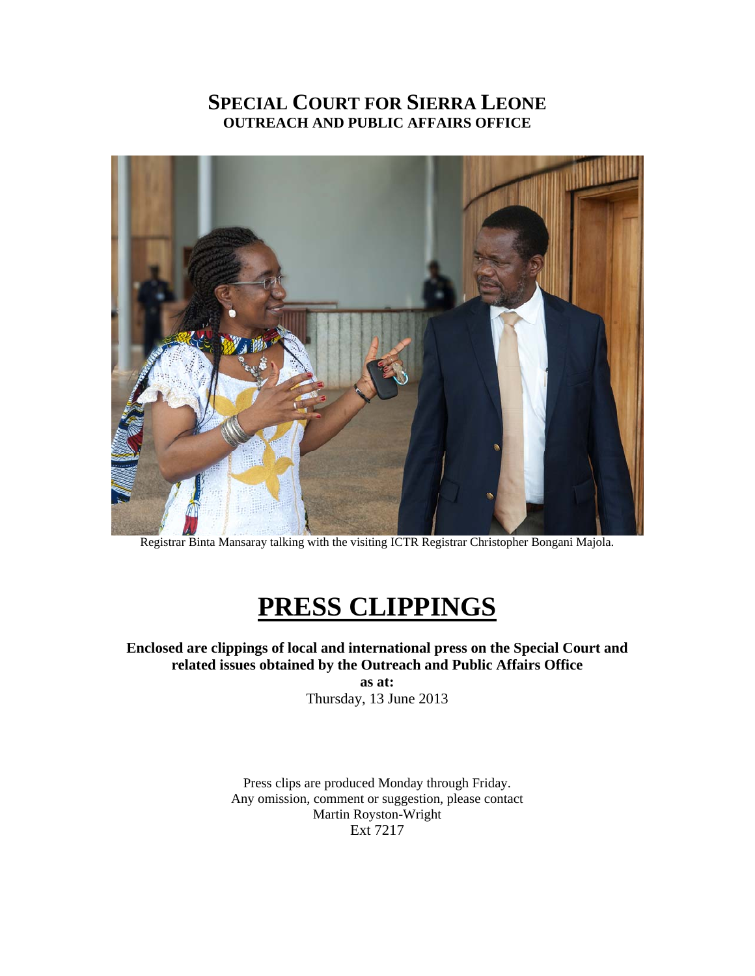# **SPECIAL COURT FOR SIERRA LEONE OUTREACH AND PUBLIC AFFAIRS OFFICE**



Registrar Binta Mansaray talking with the visiting ICTR Registrar Christopher Bongani Majola.

# **PRESS CLIPPINGS**

**Enclosed are clippings of local and international press on the Special Court and related issues obtained by the Outreach and Public Affairs Office as at:** 

Thursday, 13 June 2013

Press clips are produced Monday through Friday. Any omission, comment or suggestion, please contact Martin Royston-Wright Ext 7217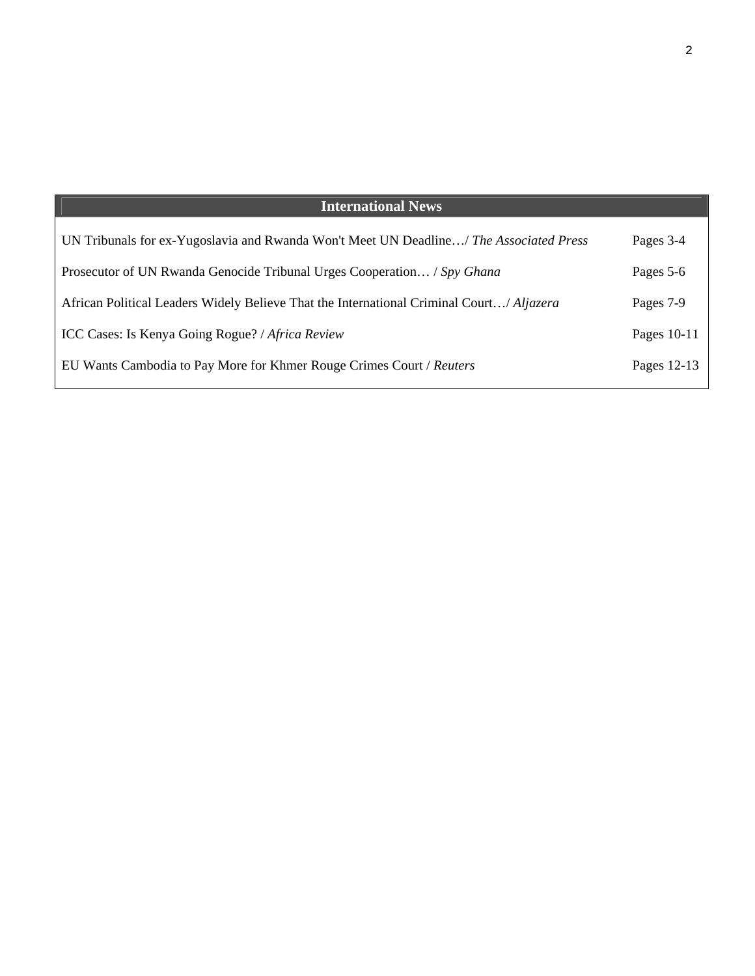| <b>International News</b>                                                               |             |
|-----------------------------------------------------------------------------------------|-------------|
| UN Tribunals for ex-Yugoslavia and Rwanda Won't Meet UN Deadline/ The Associated Press  | Pages 3-4   |
| Prosecutor of UN Rwanda Genocide Tribunal Urges Cooperation / Spy Ghana                 | Pages 5-6   |
| African Political Leaders Widely Believe That the International Criminal Court/Aljazera | Pages 7-9   |
| ICC Cases: Is Kenya Going Rogue? / Africa Review                                        | Pages 10-11 |
| EU Wants Cambodia to Pay More for Khmer Rouge Crimes Court / Reuters                    | Pages 12-13 |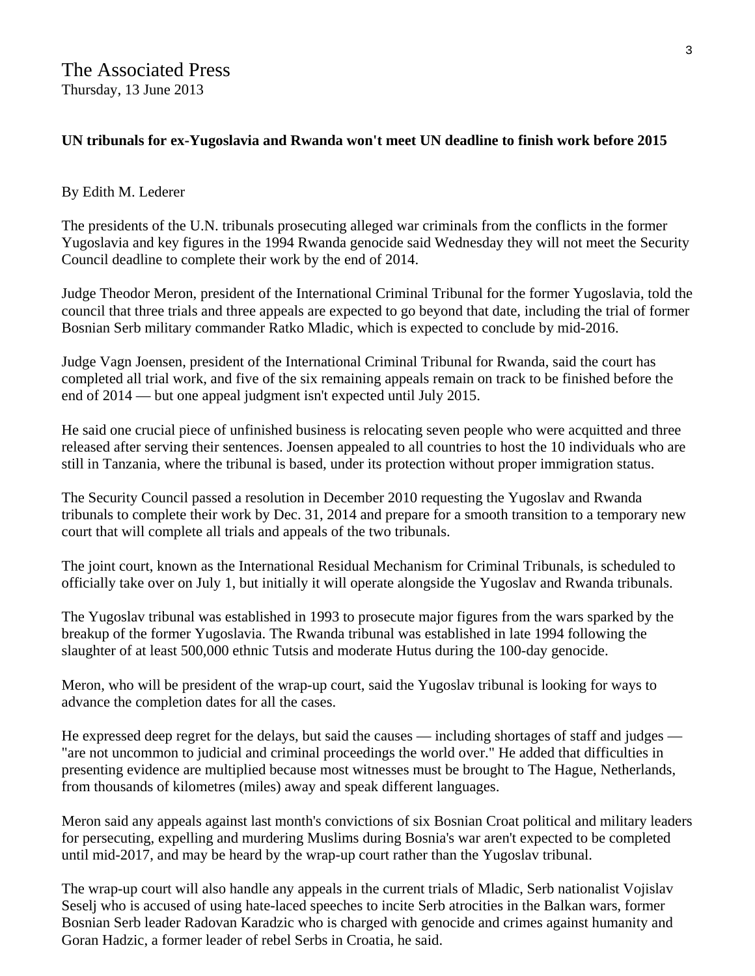## **UN tribunals for ex-Yugoslavia and Rwanda won't meet UN deadline to finish work before 2015**

#### By Edith M. Lederer

The presidents of the U.N. tribunals prosecuting alleged war criminals from the conflicts in the former Yugoslavia and key figures in the 1994 Rwanda genocide said Wednesday they will not meet the Security Council deadline to complete their work by the end of 2014.

Judge Theodor Meron, president of the International Criminal Tribunal for the former Yugoslavia, told the council that three trials and three appeals are expected to go beyond that date, including the trial of former Bosnian Serb military commander Ratko Mladic, which is expected to conclude by mid-2016.

Judge Vagn Joensen, president of the International Criminal Tribunal for Rwanda, said the court has completed all trial work, and five of the six remaining appeals remain on track to be finished before the end of 2014 — but one appeal judgment isn't expected until July 2015.

He said one crucial piece of unfinished business is relocating seven people who were acquitted and three released after serving their sentences. Joensen appealed to all countries to host the 10 individuals who are still in Tanzania, where the tribunal is based, under its protection without proper immigration status.

The Security Council passed a resolution in December 2010 requesting the Yugoslav and Rwanda tribunals to complete their work by Dec. 31, 2014 and prepare for a smooth transition to a temporary new court that will complete all trials and appeals of the two tribunals.

The joint court, known as the International Residual Mechanism for Criminal Tribunals, is scheduled to officially take over on July 1, but initially it will operate alongside the Yugoslav and Rwanda tribunals.

The Yugoslav tribunal was established in 1993 to prosecute major figures from the wars sparked by the breakup of the former Yugoslavia. The Rwanda tribunal was established in late 1994 following the slaughter of at least 500,000 ethnic Tutsis and moderate Hutus during the 100-day genocide.

Meron, who will be president of the wrap-up court, said the Yugoslav tribunal is looking for ways to advance the completion dates for all the cases.

He expressed deep regret for the delays, but said the causes — including shortages of staff and judges — "are not uncommon to judicial and criminal proceedings the world over." He added that difficulties in presenting evidence are multiplied because most witnesses must be brought to The Hague, Netherlands, from thousands of kilometres (miles) away and speak different languages.

Meron said any appeals against last month's convictions of six Bosnian Croat political and military leaders for persecuting, expelling and murdering Muslims during Bosnia's war aren't expected to be completed until mid-2017, and may be heard by the wrap-up court rather than the Yugoslav tribunal.

The wrap-up court will also handle any appeals in the current trials of Mladic, Serb nationalist Vojislav Seselj who is accused of using hate-laced speeches to incite Serb atrocities in the Balkan wars, former Bosnian Serb leader Radovan Karadzic who is charged with genocide and crimes against humanity and Goran Hadzic, a former leader of rebel Serbs in Croatia, he said.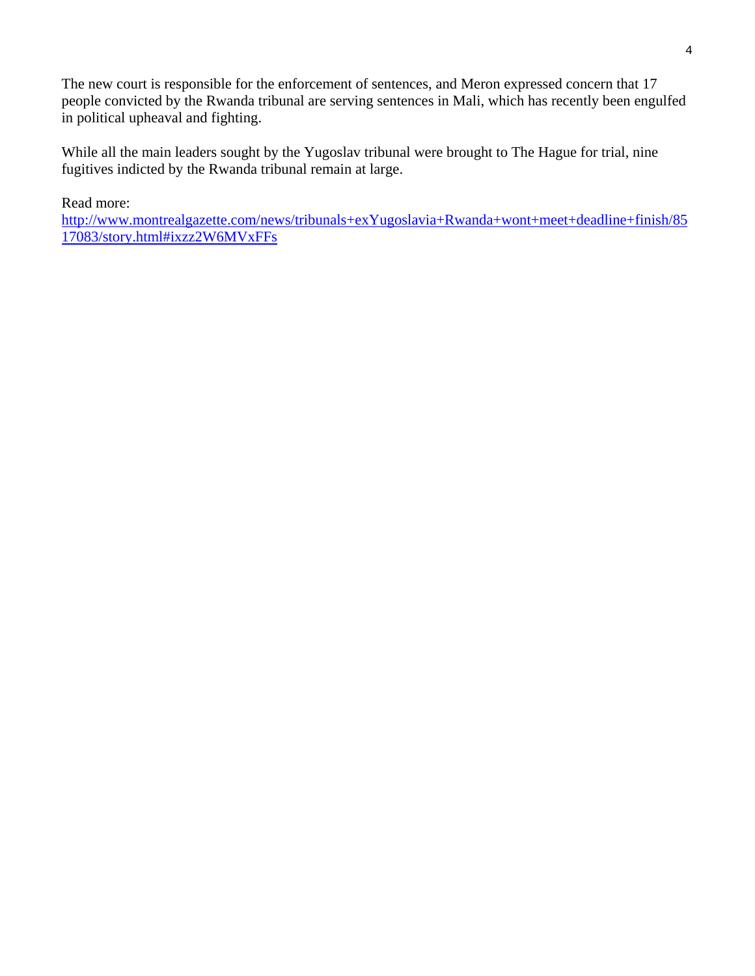The new court is responsible for the enforcement of sentences, and Meron expressed concern that 17 people convicted by the Rwanda tribunal are serving sentences in Mali, which has recently been engulfed in political upheaval and fighting.

While all the main leaders sought by the Yugoslav tribunal were brought to The Hague for trial, nine fugitives indicted by the Rwanda tribunal remain at large.

Read more:

[http://www.montrealgazette.com/news/tribunals+exYugoslavia+Rwanda+wont+meet+deadline+finish/85](http://www.montrealgazette.com/news/tribunals+exYugoslavia+Rwanda+wont+meet+deadline+finish/8517083/story.html#ixzz2W6MVxFFs) [17083/story.html#ixzz2W6MVxFFs](http://www.montrealgazette.com/news/tribunals+exYugoslavia+Rwanda+wont+meet+deadline+finish/8517083/story.html#ixzz2W6MVxFFs)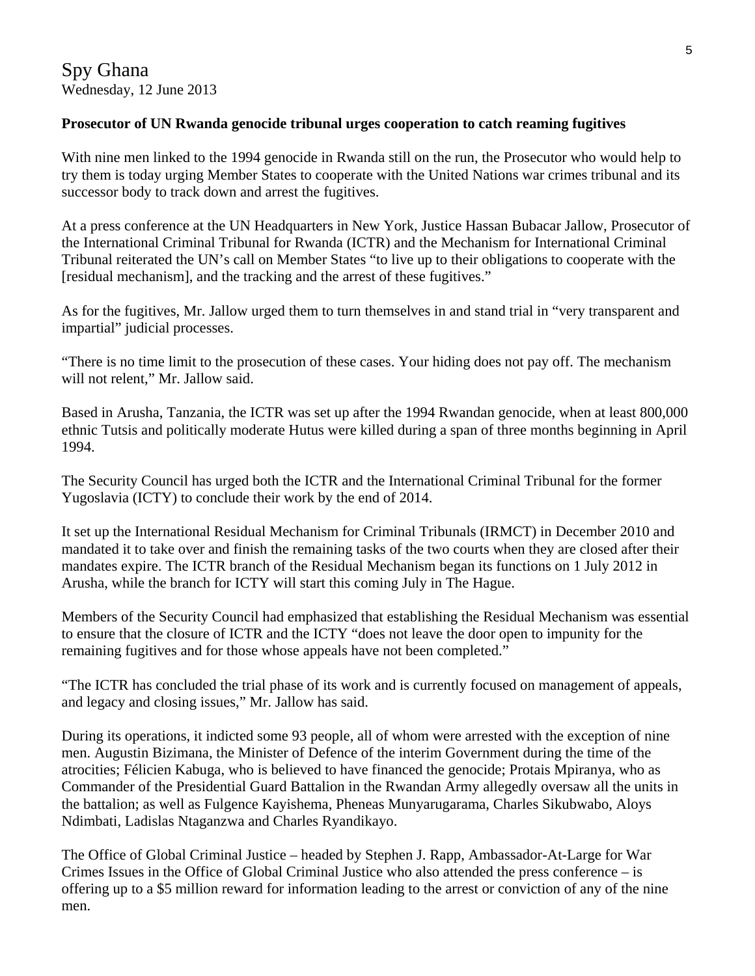#### **Prosecutor of UN Rwanda genocide tribunal urges cooperation to catch reaming fugitives**

With nine men linked to the 1994 genocide in Rwanda still on the run, the Prosecutor who would help to try them is today urging Member States to cooperate with the United Nations war crimes tribunal and its successor body to track down and arrest the fugitives.

At a press conference at the UN Headquarters in New York, Justice Hassan Bubacar Jallow, Prosecutor of the International Criminal Tribunal for Rwanda (ICTR) and the Mechanism for International Criminal Tribunal reiterated the UN's call on Member States "to live up to their obligations to cooperate with the [residual mechanism], and the tracking and the arrest of these fugitives."

As for the fugitives, Mr. Jallow urged them to turn themselves in and stand trial in "very transparent and impartial" judicial processes.

"There is no time limit to the prosecution of these cases. Your hiding does not pay off. The mechanism will not relent," Mr. Jallow said.

Based in Arusha, Tanzania, the ICTR was set up after the 1994 Rwandan genocide, when at least 800,000 ethnic Tutsis and politically moderate Hutus were killed during a span of three months beginning in April 1994.

The Security Council has urged both the ICTR and the International Criminal Tribunal for the former Yugoslavia (ICTY) to conclude their work by the end of 2014.

It set up the International Residual Mechanism for Criminal Tribunals (IRMCT) in December 2010 and mandated it to take over and finish the remaining tasks of the two courts when they are closed after their mandates expire. The ICTR branch of the Residual Mechanism began its functions on 1 July 2012 in Arusha, while the branch for ICTY will start this coming July in The Hague.

Members of the Security Council had emphasized that establishing the Residual Mechanism was essential to ensure that the closure of ICTR and the ICTY "does not leave the door open to impunity for the remaining fugitives and for those whose appeals have not been completed."

"The ICTR has concluded the trial phase of its work and is currently focused on management of appeals, and legacy and closing issues," Mr. Jallow has said.

During its operations, it indicted some 93 people, all of whom were arrested with the exception of nine men. Augustin Bizimana, the Minister of Defence of the interim Government during the time of the atrocities; Félicien Kabuga, who is believed to have financed the genocide; Protais Mpiranya, who as Commander of the Presidential Guard Battalion in the Rwandan Army allegedly oversaw all the units in the battalion; as well as Fulgence Kayishema, Pheneas Munyarugarama, Charles Sikubwabo, Aloys Ndimbati, Ladislas Ntaganzwa and Charles Ryandikayo.

The Office of Global Criminal Justice – headed by Stephen J. Rapp, Ambassador-At-Large for War Crimes Issues in the Office of Global Criminal Justice who also attended the press conference – is offering up to a \$5 million reward for information leading to the arrest or conviction of any of the nine men.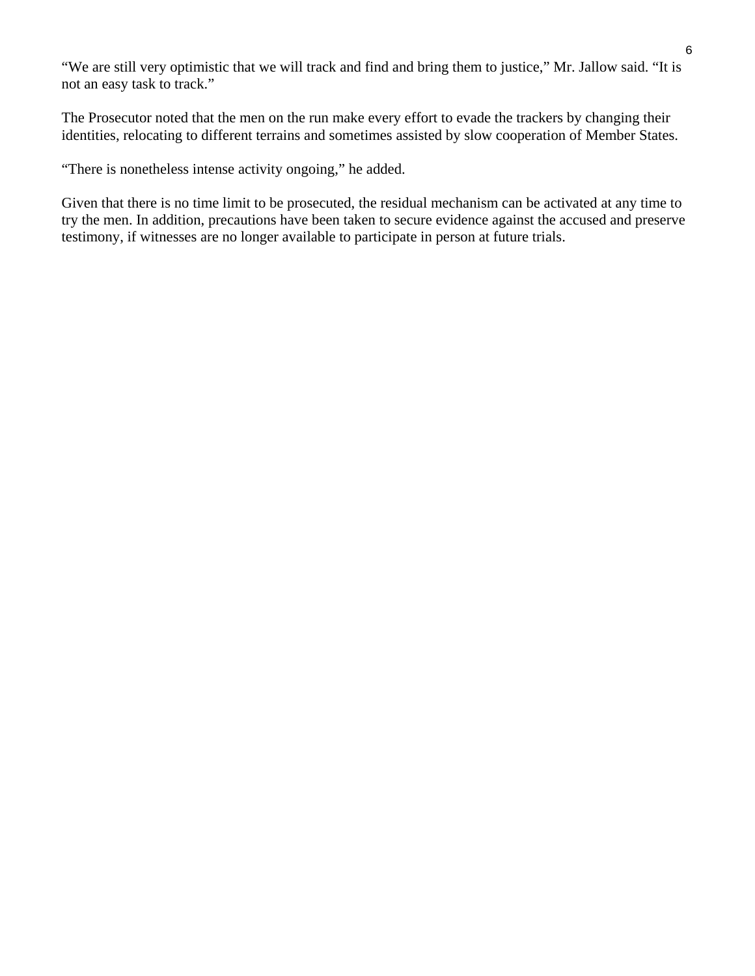"We are still very optimistic that we will track and find and bring them to justice," Mr. Jallow said. "It is not an easy task to track."

The Prosecutor noted that the men on the run make every effort to evade the trackers by changing their identities, relocating to different terrains and sometimes assisted by slow cooperation of Member States.

"There is nonetheless intense activity ongoing," he added.

Given that there is no time limit to be prosecuted, the residual mechanism can be activated at any time to try the men. In addition, precautions have been taken to secure evidence against the accused and preserve testimony, if witnesses are no longer available to participate in person at future trials.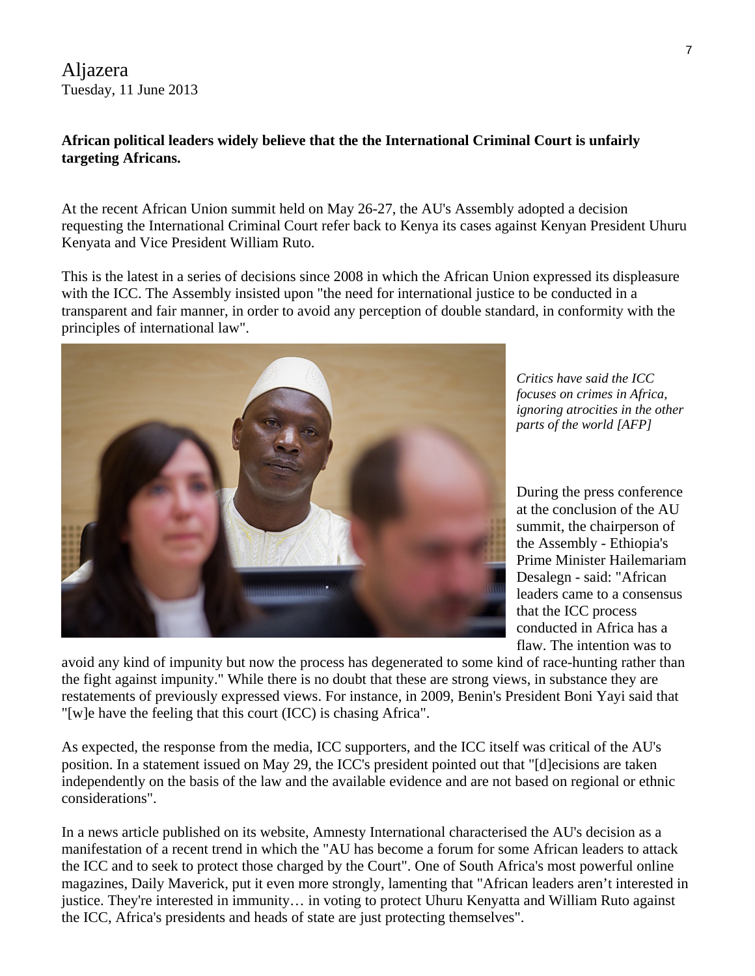Aljazera Tuesday, 11 June 2013

#### **African political leaders widely believe that the the International Criminal Court is unfairly targeting Africans.**

At the recent African Union summit held on May 26-27, the AU's Assembly adopted a decision requesting the International Criminal Court refer back to Kenya its cases against Kenyan President Uhuru Kenyata and Vice President William Ruto.

This is the latest in a series of decisions since 2008 in which the African Union expressed its displeasure with the ICC. The Assembly insisted upon "the need for international justice to be conducted in a transparent and fair manner, in order to avoid any perception of double standard, in conformity with the principles of international law".



*Critics have said the ICC focuses on crimes in Africa, ignoring atrocities in the other parts of the world [AFP]* 

During the press conference at the conclusion of the AU summit, the chairperson of the Assembly - Ethiopia's Prime Minister Hailemariam Desalegn - said: "African leaders came to a consensus that the ICC process conducted in Africa has a flaw. The intention was to

avoid any kind of impunity but now the process has degenerated to some kind of race-hunting rather than the fight against impunity." While there is no doubt that these are strong views, in substance they are restatements of previously expressed views. For instance, in 2009, Benin's President Boni Yayi said that "[w]e have the feeling that this court (ICC) is chasing Africa".

As expected, the response from the media, ICC supporters, and the ICC itself was critical of the AU's position. In a statement issued on May 29, the ICC's president pointed out that "[d]ecisions are taken independently on the basis of the law and the available evidence and are not based on regional or ethnic considerations".

In a news article published on its website, Amnesty International characterised the AU's decision as a manifestation of a recent trend in which the "AU has become a forum for some African leaders to attack the ICC and to seek to protect those charged by the Court". One of South Africa's most powerful online magazines, Daily Maverick, put it even more strongly, lamenting that "African leaders aren't interested in justice. They're interested in immunity… in voting to protect Uhuru Kenyatta and William Ruto against the ICC, Africa's presidents and heads of state are just protecting themselves".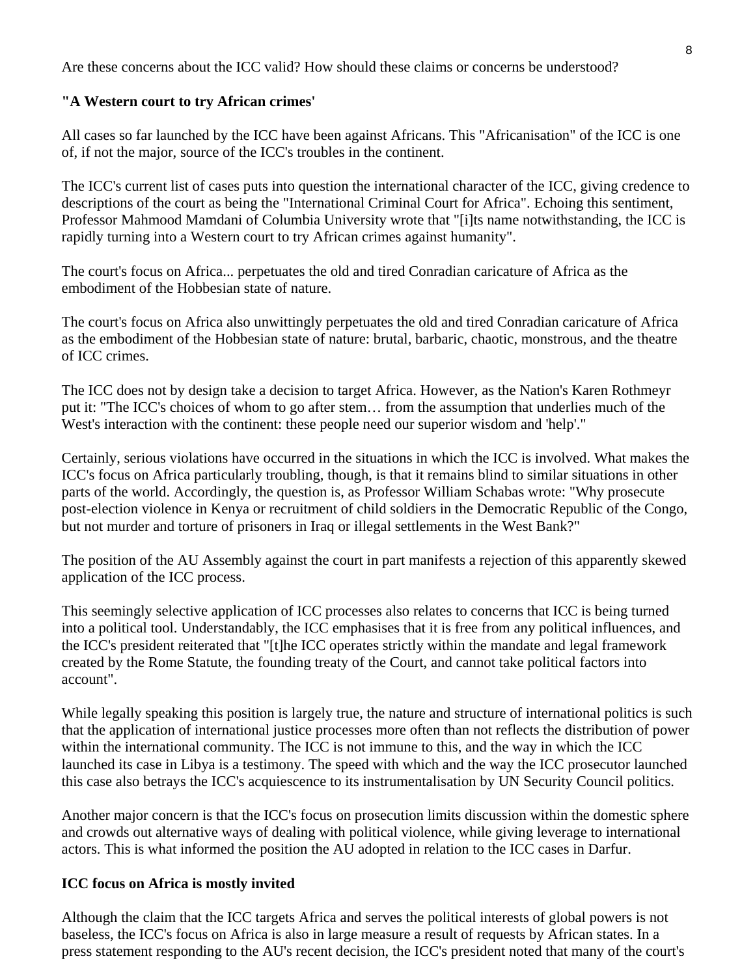Are these concerns about the ICC valid? How should these claims or concerns be understood?

#### **"A Western court to try African crimes'**

All cases so far launched by the ICC have been against Africans. This "Africanisation" of the ICC is one of, if not the major, source of the ICC's troubles in the continent.

The ICC's current list of cases puts into question the international character of the ICC, giving credence to descriptions of the court as being the "International Criminal Court for Africa". Echoing this sentiment, Professor Mahmood Mamdani of Columbia University wrote that "[i]ts name notwithstanding, the ICC is rapidly turning into a Western court to try African crimes against humanity".

The court's focus on Africa... perpetuates the old and tired Conradian caricature of Africa as the embodiment of the Hobbesian state of nature.

The court's focus on Africa also unwittingly perpetuates the old and tired Conradian caricature of Africa as the embodiment of the Hobbesian state of nature: brutal, barbaric, chaotic, monstrous, and the theatre of ICC crimes.

The ICC does not by design take a decision to target Africa. However, as the Nation's Karen Rothmeyr put it: "The ICC's choices of whom to go after stem… from the assumption that underlies much of the West's interaction with the continent: these people need our superior wisdom and 'help'."

Certainly, serious violations have occurred in the situations in which the ICC is involved. What makes the ICC's focus on Africa particularly troubling, though, is that it remains blind to similar situations in other parts of the world. Accordingly, the question is, as Professor William Schabas wrote: "Why prosecute post-election violence in Kenya or recruitment of child soldiers in the Democratic Republic of the Congo, but not murder and torture of prisoners in Iraq or illegal settlements in the West Bank?"

The position of the AU Assembly against the court in part manifests a rejection of this apparently skewed application of the ICC process.

This seemingly selective application of ICC processes also relates to concerns that ICC is being turned into a political tool. Understandably, the ICC emphasises that it is free from any political influences, and the ICC's president reiterated that "[t]he ICC operates strictly within the mandate and legal framework created by the Rome Statute, the founding treaty of the Court, and cannot take political factors into account".

While legally speaking this position is largely true, the nature and structure of international politics is such that the application of international justice processes more often than not reflects the distribution of power within the international community. The ICC is not immune to this, and the way in which the ICC launched its case in Libya is a testimony. The speed with which and the way the ICC prosecutor launched this case also betrays the ICC's acquiescence to its instrumentalisation by UN Security Council politics.

Another major concern is that the ICC's focus on prosecution limits discussion within the domestic sphere and crowds out alternative ways of dealing with political violence, while giving leverage to international actors. This is what informed the position the AU adopted in relation to the ICC cases in Darfur.

#### **ICC focus on Africa is mostly invited**

Although the claim that the ICC targets Africa and serves the political interests of global powers is not baseless, the ICC's focus on Africa is also in large measure a result of requests by African states. In a press statement responding to the AU's recent decision, the ICC's president noted that many of the court's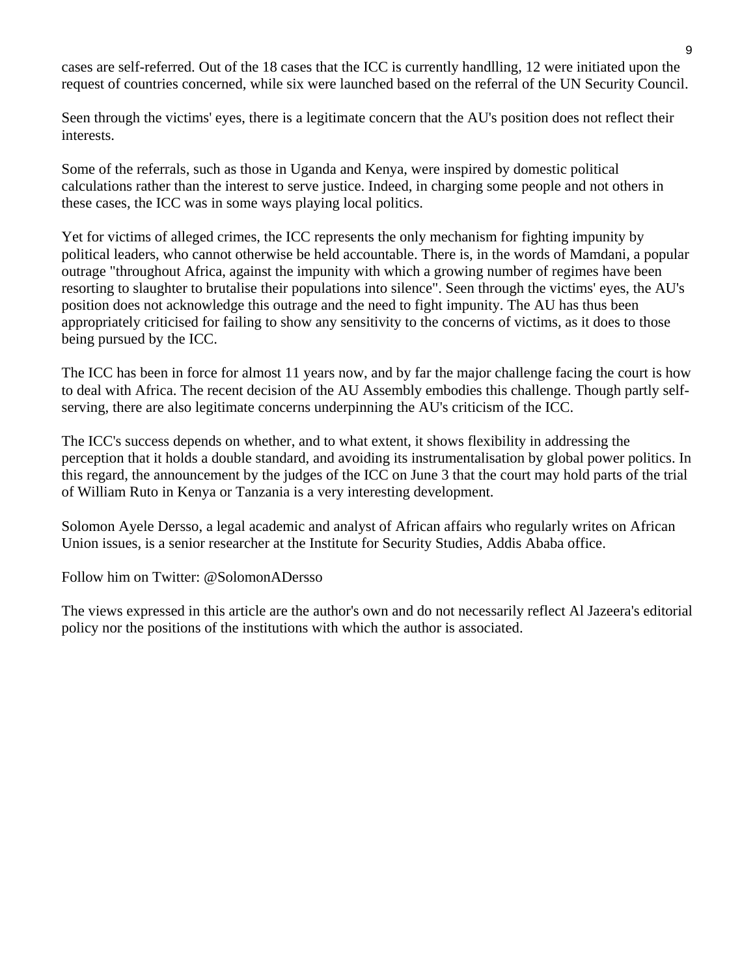cases are self-referred. Out of the 18 cases that the ICC is currently handlling, 12 were initiated upon the request of countries concerned, while six were launched based on the referral of the UN Security Council.

Seen through the victims' eyes, there is a legitimate concern that the AU's position does not reflect their interests.

Some of the referrals, such as those in Uganda and Kenya, were inspired by domestic political calculations rather than the interest to serve justice. Indeed, in charging some people and not others in these cases, the ICC was in some ways playing local politics.

Yet for victims of alleged crimes, the ICC represents the only mechanism for fighting impunity by political leaders, who cannot otherwise be held accountable. There is, in the words of Mamdani, a popular outrage "throughout Africa, against the impunity with which a growing number of regimes have been resorting to slaughter to brutalise their populations into silence". Seen through the victims' eyes, the AU's position does not acknowledge this outrage and the need to fight impunity. The AU has thus been appropriately criticised for failing to show any sensitivity to the concerns of victims, as it does to those being pursued by the ICC.

The ICC has been in force for almost 11 years now, and by far the major challenge facing the court is how to deal with Africa. The recent decision of the AU Assembly embodies this challenge. Though partly selfserving, there are also legitimate concerns underpinning the AU's criticism of the ICC.

The ICC's success depends on whether, and to what extent, it shows flexibility in addressing the perception that it holds a double standard, and avoiding its instrumentalisation by global power politics. In this regard, the announcement by the judges of the ICC on June 3 that the court may hold parts of the trial of William Ruto in Kenya or Tanzania is a very interesting development.

Solomon Ayele Dersso, a legal academic and analyst of African affairs who regularly writes on African Union issues, is a senior researcher at the Institute for Security Studies, Addis Ababa office.

Follow him on Twitter: @SolomonADersso

The views expressed in this article are the author's own and do not necessarily reflect Al Jazeera's editorial policy nor the positions of the institutions with which the author is associated.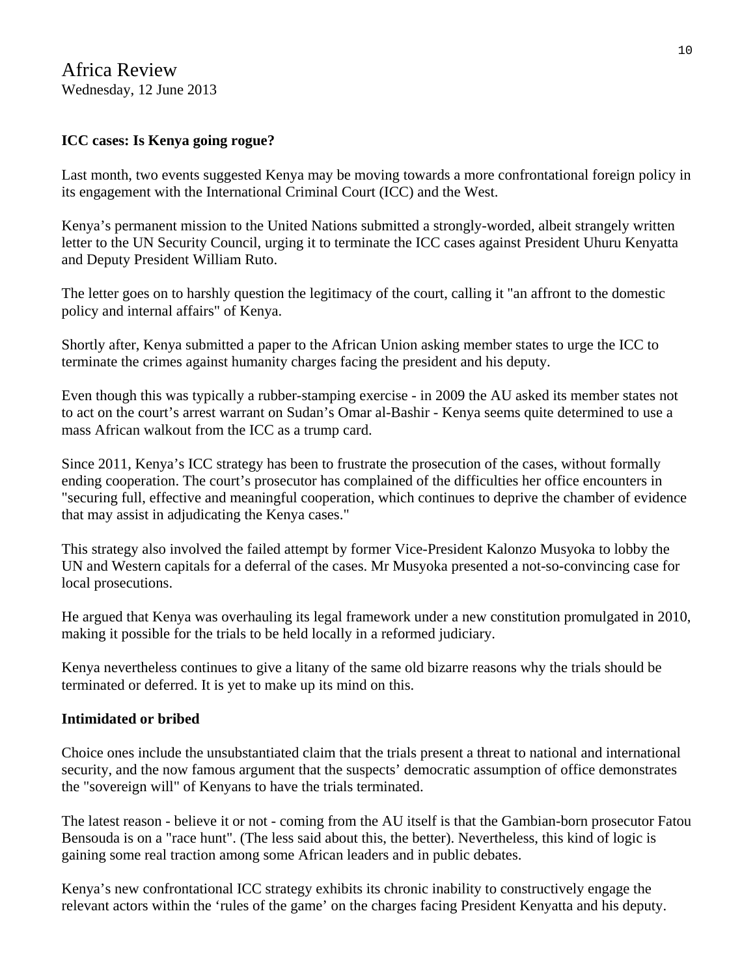# Africa Review Wednesday, 12 June 2013

#### **ICC cases: Is Kenya going rogue?**

Last month, two events suggested Kenya may be moving towards a more confrontational foreign policy in its engagement with the International Criminal Court (ICC) and the West.

Kenya's permanent mission to the United Nations submitted a strongly-worded, albeit strangely written letter to the UN Security Council, urging it to terminate the ICC cases against President Uhuru Kenyatta and Deputy President William Ruto.

The letter goes on to harshly question the legitimacy of the court, calling it "an affront to the domestic policy and internal affairs" of Kenya.

Shortly after, Kenya submitted a paper to the African Union asking member states to urge the ICC to terminate the crimes against humanity charges facing the president and his deputy.

Even though this was typically a rubber-stamping exercise - in 2009 the AU asked its member states not to act on the court's arrest warrant on Sudan's Omar al-Bashir - Kenya seems quite determined to use a mass African walkout from the ICC as a trump card.

Since 2011, Kenya's ICC strategy has been to frustrate the prosecution of the cases, without formally ending cooperation. The court's prosecutor has complained of the difficulties her office encounters in "securing full, effective and meaningful cooperation, which continues to deprive the chamber of evidence that may assist in adjudicating the Kenya cases."

This strategy also involved the failed attempt by former Vice-President Kalonzo Musyoka to lobby the UN and Western capitals for a deferral of the cases. Mr Musyoka presented a not-so-convincing case for local prosecutions.

He argued that Kenya was overhauling its legal framework under a new constitution promulgated in 2010, making it possible for the trials to be held locally in a reformed judiciary.

Kenya nevertheless continues to give a litany of the same old bizarre reasons why the trials should be terminated or deferred. It is yet to make up its mind on this.

#### **Intimidated or bribed**

Choice ones include the unsubstantiated claim that the trials present a threat to national and international security, and the now famous argument that the suspects' democratic assumption of office demonstrates the "sovereign will" of Kenyans to have the trials terminated.

The latest reason - believe it or not - coming from the AU itself is that the Gambian-born prosecutor Fatou Bensouda is on a "race hunt". (The less said about this, the better). Nevertheless, this kind of logic is gaining some real traction among some African leaders and in public debates.

Kenya's new confrontational ICC strategy exhibits its chronic inability to constructively engage the relevant actors within the 'rules of the game' on the charges facing President Kenyatta and his deputy.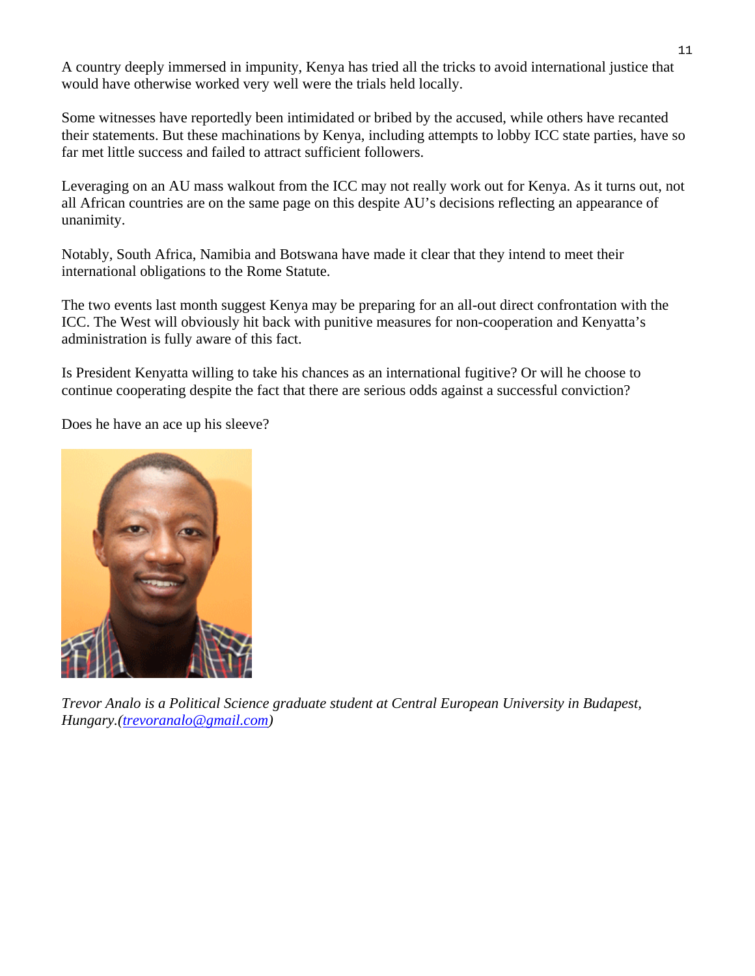A country deeply immersed in impunity, Kenya has tried all the tricks to avoid international justice that would have otherwise worked very well were the trials held locally.

Some witnesses have reportedly been intimidated or bribed by the accused, while others have recanted their statements. But these machinations by Kenya, including attempts to lobby ICC state parties, have so far met little success and failed to attract sufficient followers.

Leveraging on an AU mass walkout from the ICC may not really work out for Kenya. As it turns out, not all African countries are on the same page on this despite AU's decisions reflecting an appearance of unanimity.

Notably, South Africa, Namibia and Botswana have made it clear that they intend to meet their international obligations to the Rome Statute.

The two events last month suggest Kenya may be preparing for an all-out direct confrontation with the ICC. The West will obviously hit back with punitive measures for non-cooperation and Kenyatta's administration is fully aware of this fact.

Is President Kenyatta willing to take his chances as an international fugitive? Or will he choose to continue cooperating despite the fact that there are serious odds against a successful conviction?

Does he have an ace up his sleeve?



*Trevor Analo is a Political Science graduate student at Central European University in Budapest, Hungary.([trevoranalo@gmail.com\)](mailto:trevoranalo@gmail.com)*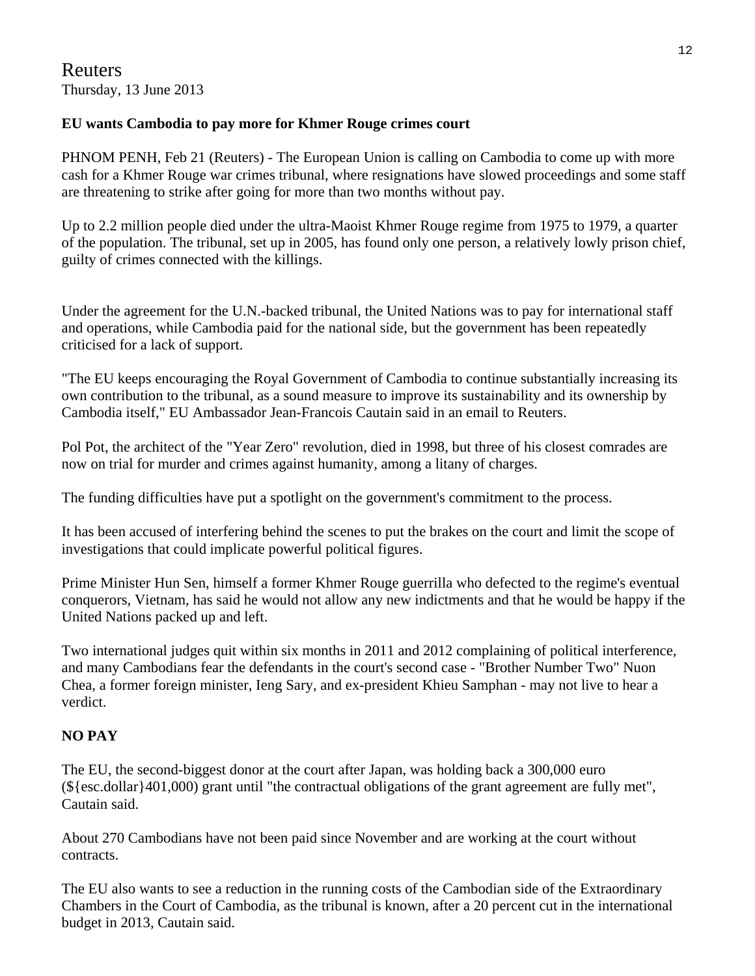## **EU wants Cambodia to pay more for Khmer Rouge crimes court**

PHNOM PENH, Feb 21 (Reuters) - The European Union is calling on Cambodia to come up with more cash for a Khmer Rouge war crimes tribunal, where resignations have slowed proceedings and some staff are threatening to strike after going for more than two months without pay.

Up to 2.2 million people died under the ultra-Maoist Khmer Rouge regime from 1975 to 1979, a quarter of the population. The tribunal, set up in 2005, has found only one person, a relatively lowly prison chief, guilty of crimes connected with the killings.

Under the agreement for the U.N.-backed tribunal, the United Nations was to pay for international staff and operations, while Cambodia paid for the national side, but the government has been repeatedly criticised for a lack of support.

"The EU keeps encouraging the Royal Government of Cambodia to continue substantially increasing its own contribution to the tribunal, as a sound measure to improve its sustainability and its ownership by Cambodia itself," EU Ambassador Jean-Francois Cautain said in an email to Reuters.

Pol Pot, the architect of the "Year Zero" revolution, died in 1998, but three of his closest comrades are now on trial for murder and crimes against humanity, among a litany of charges.

The funding difficulties have put a spotlight on the government's commitment to the process.

It has been accused of interfering behind the scenes to put the brakes on the court and limit the scope of investigations that could implicate powerful political figures.

Prime Minister Hun Sen, himself a former Khmer Rouge guerrilla who defected to the regime's eventual conquerors, Vietnam, has said he would not allow any new indictments and that he would be happy if the United Nations packed up and left.

Two international judges quit within six months in 2011 and 2012 complaining of political interference, and many Cambodians fear the defendants in the court's second case - "Brother Number Two" Nuon Chea, a former foreign minister, Ieng Sary, and ex-president Khieu Samphan - may not live to hear a verdict.

# **NO PAY**

The EU, the second-biggest donor at the court after Japan, was holding back a 300,000 euro (\${esc.dollar}401,000) grant until "the contractual obligations of the grant agreement are fully met", Cautain said.

About 270 Cambodians have not been paid since November and are working at the court without contracts.

The EU also wants to see a reduction in the running costs of the Cambodian side of the Extraordinary Chambers in the Court of Cambodia, as the tribunal is known, after a 20 percent cut in the international budget in 2013, Cautain said.